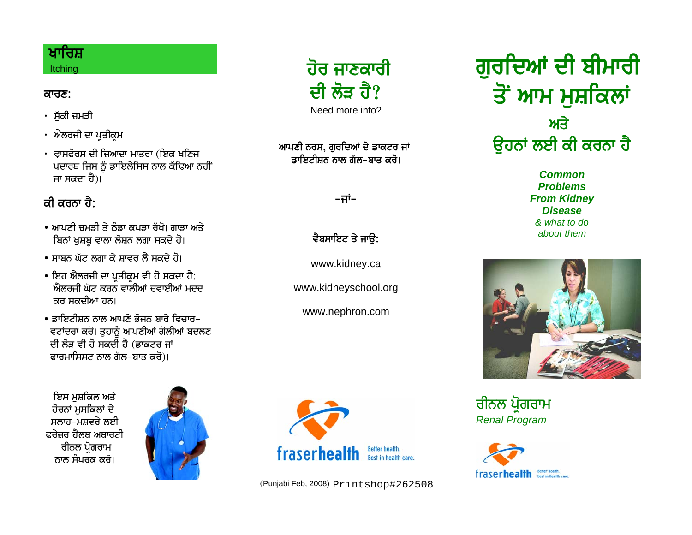#### ਖਾਰਿਸ਼ **Itching**

#### <u>ਕਾਰਣ:</u>

- ਸੁੱਕੀ ਚਮੜੀ
- · ਐਲਰਜੀ ਦਾ ਪਤੀਕਮ
- $\cdot$  ਫਾਸਫੋਰਸ ਦੀ ਜ਼ਿਆਦਾ ਮਾਤਰਾ (ਇਕ ਖਣਿਜ ਪਦਾਰਥ ਜਿਸ ਨੂੰ ਡਾਇਲੇਸਿਸ ਨਾਲ ਕੱਢਿਆ ਨਹੀਂ ਜਾ ਸਕਦਾ ਹੈ)।

## *ਕੀ ਕ*ਰਨਾ ਹੈ<sup>.</sup>

- $\bullet$  ਆਪਣੀ ਜਮਤੀ ਤੇ ਨੰਡਾ ਕਪਤਾ ਰੱਖੋ। ਗਾਤਾ ਅਤੇ ਬਿਨਾਂ ਖਸ਼ਬੂ ਵਾਲਾ ਲੋਸ਼ਨ ਲਗਾ ਸਕਦੇ ਹੋ।
- $\bullet$  ਸਾਸ਼ਨ ਘੱਟ ਲਗਾ ਕੇ ਸਾਵਰ ਲੈ ਸਕਦੇ ਹੋ।
- ਇਹ ਐਲਰਜੀ ਦਾ ਪਤੀਕਮ ਵੀ ਹੋ ਸਕਦਾ ਹੈ:  $\hat{\mathbf{y}}$ ਲੋਕਰਜੀ ਘੱਟ ਕਰਨ ਵਾਲੀਆਂ ਦਵਾਈਆਂ ਮਦਦ ਕਰ ਸਕਦੀਆਂ ਹਨ।
- $\bullet$  ਡਾਇਟੀਸਨ ਨਾਲ ਆਪਣੇ ਕੋਜਨ ਸਾਰੇ ਵਿਜਾਰ– ਵਟਾਂਦਰਾ ਕਰੋ। ਤੁਹਾਨੂੰ ਆਪਣੀਆਂ ਗੋਲੀਆਂ ਬਦਲਣ ਦੀ ਲੋੜ ਵੀ ਹੋ ਸਕਦੀ ਹੈ (ਡਾਕਟਰ ਜਾਂ ਫਾਰਮਾਸਿਸਟ ਨਾਲ ਗੱਲ-ਬਾਤ ਕਰੋ)।

ਇਸ ਮਸ਼ਕਿਲ ਅਤੇ ਹੋਰਨਾਂ ਮਸ਼ਕਿਲਾਂ ਦੇ ਸਲਾਹ-ਮਸ਼ਵਰੇ ਲਈ ਫਰੇਜ਼ਰ ਹੈਲਥ ਅਥਾਰਟੀ ਰੀਨਲ ਪੋਗਰਾਮ ਨਾਲ ਸੰਪਰਕ ਕਰੋ।





ਆਪਣੀ ਨਰਸ, ਗੁਰਦਿਆਂ ਦੇ ਡਾਕਟਰ ਜਾਂ <mark>ੜਾਇਟੀਸ਼ਨ ਨਾਲ ਗੱਲ-ਬਾਤ ਕਰੋ।</mark>

–ਜਾਂ–

ਵੈਬਸਾਇਟ ਤੇ **ਜਾਉ**:

www.kidney.ca

www.kidneyschool.org

www.nephron.com



(Punjabi Feb, 2008) Printshop#262508

ਗਰਦਿਆਂ ਦੀ **ਬੀਮਾਰੀ** <u>ਤੋਂ ਆਮ ਮਸ਼ਕਿਲਾਂ</u> **Eqy ੳਹਨਾਂ ਲਈ ਕੀ ਕਰਨਾ ਹੈ** 

> *Common Problems From Kidney Disease & what to do about them*



ਰੀਨਲ ਪ੍ਰੋਗਰਾਮ *Renal Program*